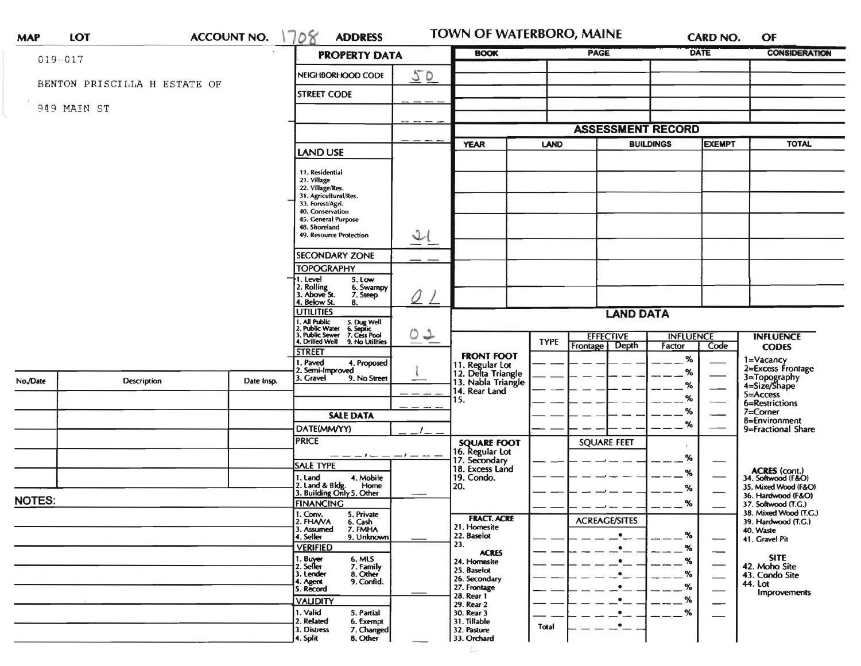| <b>MAP</b>    | LOT                          | <b>ACCOUNT NO.</b> | 708<br><b>ADDRESS</b>                                                        |             | <b>TOWN OF WATERBORO, MAINE</b>                             |                                |                                   |                            | <b>CARD NO.</b> | OF                                           |
|---------------|------------------------------|--------------------|------------------------------------------------------------------------------|-------------|-------------------------------------------------------------|--------------------------------|-----------------------------------|----------------------------|-----------------|----------------------------------------------|
| $019 - 017$   |                              |                    | <b>PROPERTY DATA</b>                                                         |             | <b>BOOK</b>                                                 | <b>PAGE</b>                    |                                   | DATE                       |                 | <b>CONSIDERATION</b>                         |
|               |                              |                    | NEIGHBORHOOD CODE                                                            | 50          |                                                             |                                |                                   |                            |                 |                                              |
|               | BENTON PRISCILLA H ESTATE OF |                    |                                                                              |             |                                                             |                                |                                   |                            |                 |                                              |
|               |                              |                    | <b>STREET CODE</b>                                                           |             |                                                             |                                |                                   |                            |                 |                                              |
|               | 949 MAIN ST                  |                    |                                                                              |             |                                                             |                                |                                   |                            |                 |                                              |
|               |                              |                    |                                                                              |             |                                                             | <b>ASSESSMENT RECORD</b>       |                                   |                            |                 |                                              |
|               |                              |                    |                                                                              | <b>YEAR</b> | <b>LAND</b>                                                 |                                | <b>EXEMPT</b><br><b>BUILDINGS</b> |                            | <b>TOTAL</b>    |                                              |
|               |                              |                    | <b>LAND USE</b>                                                              |             |                                                             |                                |                                   |                            |                 |                                              |
|               |                              |                    | 11. Residential<br>21. Village                                               |             |                                                             |                                |                                   |                            |                 |                                              |
|               |                              |                    | 22. Village/Res.<br>31. Agricultural/Res.                                    |             |                                                             |                                |                                   |                            |                 |                                              |
|               |                              |                    | 33. Forest/Agri.<br>40. Conservation                                         |             |                                                             |                                |                                   |                            |                 |                                              |
|               |                              |                    | 45. General Purpose                                                          |             |                                                             |                                |                                   |                            |                 |                                              |
|               |                              |                    | 48. Shoreland<br>$\mathfrak{D}$<br>49. Resource Protection                   |             |                                                             |                                |                                   |                            |                 |                                              |
|               |                              |                    | <b>SECONDARY ZONE</b>                                                        |             |                                                             |                                |                                   |                            |                 |                                              |
|               |                              |                    | <b>TOPOGRAPHY</b>                                                            |             |                                                             |                                |                                   |                            |                 |                                              |
|               |                              |                    | 5. Low<br>1. Level                                                           |             |                                                             |                                |                                   |                            |                 |                                              |
|               |                              |                    | 2. Rolling<br>3. Above St.<br>6. Swampy<br>7. Steep                          |             |                                                             |                                |                                   |                            |                 |                                              |
|               |                              |                    | 4. Below St.<br>8.<br><b>UTILITIES</b>                                       |             | <b>LAND DATA</b>                                            |                                |                                   |                            |                 |                                              |
|               |                              |                    | 1. All Public<br>2. Public Water<br>5. Dug Well<br>6. Septic<br>7. Cess Pool |             |                                                             |                                |                                   |                            |                 |                                              |
|               |                              |                    | . Public Sewer<br>4. Drilled Well<br>9. No Utilities                         | 02          |                                                             | <b>TYPE</b><br><b>Frontage</b> | <b>EFFECTIVE</b><br>Depth         | <b>INFLUENCE</b><br>Factor | Code            | <b>INFLUENCE</b><br><b>CODES</b>             |
|               |                              |                    | <b>STREET</b><br>. Paved                                                     |             | <b>FRONT FOOT</b>                                           |                                |                                   | %                          |                 |                                              |
|               |                              |                    | 4. Proposed<br>2. Semi-Improved                                              |             | 11. Regular Lot<br>12. Delta Triangle<br>13. Nabla Triangle |                                |                                   | %                          |                 | 1=Vacancy<br>2=Excess Frontage               |
| No./Date      | Description                  | Date Insp.         | 3. Gravel<br>9. No Street                                                    |             | 14. Rear Land                                               |                                |                                   | %                          |                 | 3=Topography<br>4=Size/Shape                 |
|               |                              |                    |                                                                              | 15.         |                                                             |                                |                                   | %                          |                 | 5=Access<br>6=Restrictions                   |
|               |                              |                    | <b>SALE DATA</b>                                                             |             | <b>SQUARE FOOT</b><br>16. Regular Lot                       |                                | %<br><b>SQUARE FEET</b>           | %                          |                 | $7 =$ Corner<br>8=Environment                |
|               |                              |                    | DATE(MM/YY)                                                                  |             |                                                             |                                |                                   |                            |                 | 9=Fractional Share                           |
|               |                              |                    | <b>PRICE</b>                                                                 |             |                                                             |                                |                                   |                            |                 |                                              |
|               |                              |                    | — — — ! — — — ! — —<br><b>SALE TYPE</b>                                      |             | 17. Secondary<br>18. Excess Land                            |                                |                                   | %                          |                 |                                              |
|               |                              |                    | 1. Land<br>4. Mobile                                                         |             | 19. Condo.                                                  |                                |                                   | %                          |                 | ACRES (cont.)<br>34. Softwood (F&O)          |
|               |                              |                    | 2. Land & Bldg. Home<br>3. Building Only 5. Other<br>Home                    | 20.         |                                                             |                                |                                   | %                          |                 | 35. Mixed Wood (F&O)<br>36. Hardwood (F&O)   |
| <b>NOTES:</b> |                              |                    | <b>FINANCING</b>                                                             |             |                                                             |                                |                                   | %                          |                 | 37. Softwood (T.G.)<br>38. Mixed Wood (T.G.) |
|               |                              |                    | 1. Conv.<br>5. Private<br>2. FHAVA<br>6. Cash                                |             | <b>FRACT. ACRE</b><br>21. Homesite                          |                                | <b>ACREAGE/SITES</b>              |                            |                 | 39. Hardwood (T.G.)                          |
|               |                              |                    | 3. Assumed<br>7. FMHA<br>4. Seller<br>9. Unknown                             |             | 22. Baselot                                                 |                                | $\bullet$                         | %                          |                 | 40. Waste<br>41. Gravel Pit                  |
|               |                              |                    | <b>VERIFIED</b><br>6. MLS                                                    | 23.         | <b>ACRES</b>                                                |                                | $\bullet$                         | %                          |                 | <b>SITE</b>                                  |
|               |                              |                    | 1. Buyer<br>2. Seller<br>7. Family<br>8. Other<br>3. Lender                  |             | 24. Homesite<br>25. Baselot                                 |                                | $\bullet$<br>٠                    | %<br>%                     |                 | 42. Moho Site                                |
|               |                              |                    | 9. Confid.<br>4. Agent                                                       |             | 26. Secondary<br>27. Frontage                               |                                |                                   | %                          |                 | 43. Condo Site<br>44. Lot                    |
|               |                              |                    | 5. Record<br><b>VALIDITY</b>                                                 |             | 28. Rear 1                                                  |                                |                                   | %                          |                 | Improvements                                 |
|               |                              |                    | 1. Valid<br>5. Partial                                                       |             | 29. Rear 2<br>30. Rear 3                                    |                                |                                   | %                          |                 |                                              |
|               |                              |                    | 2. Related<br>6. Exempt<br>7. Changed<br>3. Distress                         |             | 31. Tillable<br>32. Pasture                                 | Total                          |                                   |                            |                 |                                              |
|               |                              |                    | 8. Other<br>4. Split                                                         |             | 33. Orchard                                                 |                                |                                   |                            |                 |                                              |